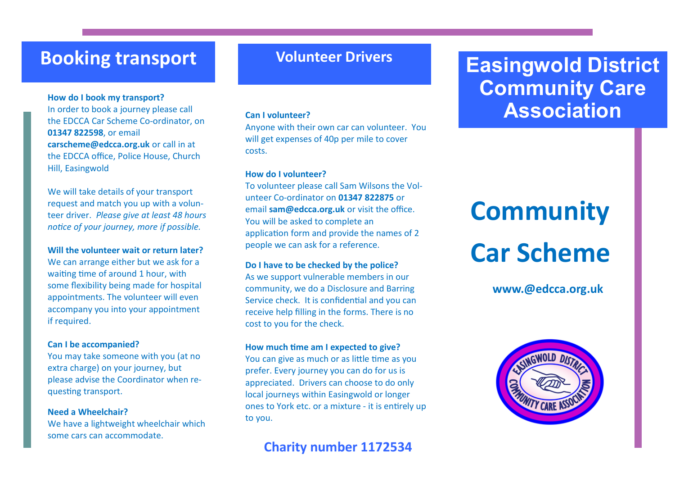## **Booking transport**

## **How do I book my transport?**

In order to book a journey please call the EDCCA Car Scheme Co-ordinator, on **01347 822598**, or email **carscheme@edcca.org.uk** or call in at the EDCCA office, Police House, Church Hill, Easingwold

We will take details of your transport request and match you up with a volunteer driver. *Please give at least 48 hours notice of your journey, more if possible.*

**Will the volunteer wait or return later?** We can arrange either but we ask for a waiting time of around 1 hour, with some flexibility being made for hospital appointments. The volunteer will even accompany you into your appointment if required.

## **Can I be accompanied?**

You may take someone with you (at no extra charge) on your journey, but please advise the Coordinator when requesting transport.

## **Need a Wheelchair?**

We have a lightweight wheelchair which some cars can accommodate.

## **Volunteer Drivers**

### **Can I volunteer?**

Anyone with their own car can volunteer. You will get expenses of 40p per mile to cover costs.

## **How do I volunteer?**

To volunteer please call Sam Wilsons the Volunteer Co-ordinator on **01347 822875** or email **sam@edcca.org.uk** or visit the office. You will be asked to complete an application form and provide the names of 2 people we can ask for a reference.

## **Do I have to be checked by the police?**

As we support vulnerable members in our community, we do a Disclosure and Barring Service check. It is confidential and you can receive help filling in the forms. There is no cost to you for the check.

## **How much time am I expected to give?**

You can give as much or as little time as you prefer. Every journey you can do for us is appreciated. Drivers can choose to do only local journeys within Easingwold or longer ones to York etc. or a mixture - it is entirely up to you.

## **Charity number 1172534**

## **Easingwold District Community Care Association**

# **Community Car Scheme**

**www.@edcca.org.uk**